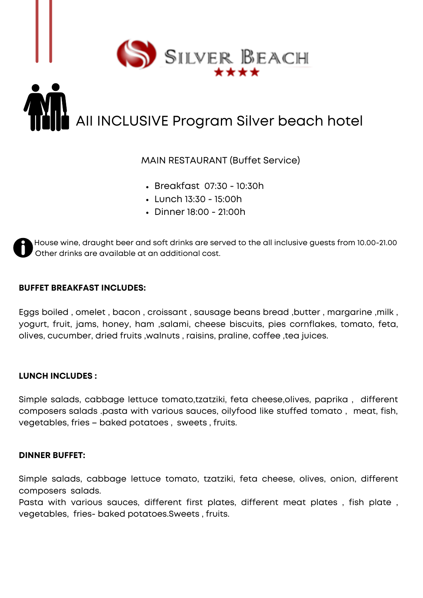

# AII INCLUSIVE Program Silver beach hotel

### MAIN RESTAURANT (Buffet Service)

- Breakfast 07:30 10:30h
- Lunch 13:30 15:00h
- Dinner 18:00 21:00h

House wine, draught beer and soft drinks are served to the all inclusive guests from 10.00-21.00 Other drinks are available at an additional cost.

#### **BUFFET BREAKFAST INCLUDES:**

Eggs boiled , omelet , bacon , croissant , sausage beans bread ,butter , margarine ,milk , yogurt, fruit, jams, honey, ham ,salami, cheese biscuits, pies cornflakes, tomato, feta, olives, cucumber, dried fruits ,walnuts , raisins, praline, coffee ,tea juices.

#### **LUNCH INCLUDES :**

Simple salads, cabbage lettuce tomato,tzatziki, feta cheese,olives, paprika , different composers salads .pasta with various sauces, oilyfood like stuffed tomato , meat, fish, vegetables, fries – baked potatoes , sweets , fruits.

#### **DINNER BUFFET:**

Simple salads, cabbage lettuce tomato, tzatziki, feta cheese, olives, onion, different composers salads.

Pasta with various sauces, different first plates, different meat plates, fish plate, vegetables, fries- baked potatoes.Sweets , fruits.